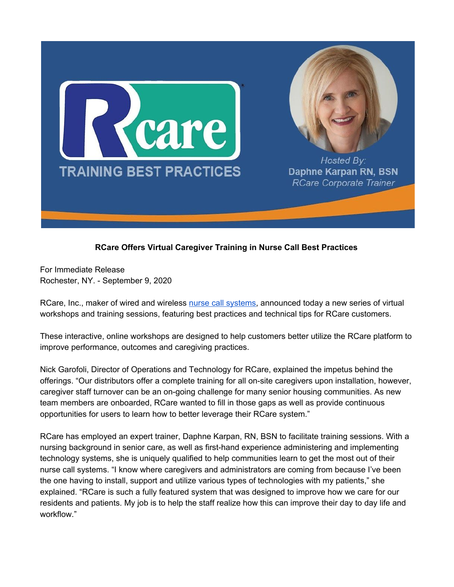



Hosted Bv: Daphne Karpan RN, BSN **RCare Corporate Trainer** 

## **RCare Offers Virtual Caregiver Training in Nurse Call Best Practices**

For Immediate Release Rochester, NY. - September 9, 2020

RCare, Inc., maker of wired and wireless nurse call [systems,](https://rcareinc.com/) announced today a new series of virtual workshops and training sessions, featuring best practices and technical tips for RCare customers.

These interactive, online workshops are designed to help customers better utilize the RCare platform to improve performance, outcomes and caregiving practices.

Nick Garofoli, Director of Operations and Technology for RCare, explained the impetus behind the offerings. "Our distributors offer a complete training for all on-site caregivers upon installation, however, caregiver staff turnover can be an on-going challenge for many senior housing communities. As new team members are onboarded, RCare wanted to fill in those gaps as well as provide continuous opportunities for users to learn how to better leverage their RCare system."

RCare has employed an expert trainer, Daphne Karpan, RN, BSN to facilitate training sessions. With a nursing background in senior care, as well as first-hand experience administering and implementing technology systems, she is uniquely qualified to help communities learn to get the most out of their nurse call systems. "I know where caregivers and administrators are coming from because I've been the one having to install, support and utilize various types of technologies with my patients," she explained. "RCare is such a fully featured system that was designed to improve how we care for our residents and patients. My job is to help the staff realize how this can improve their day to day life and workflow."